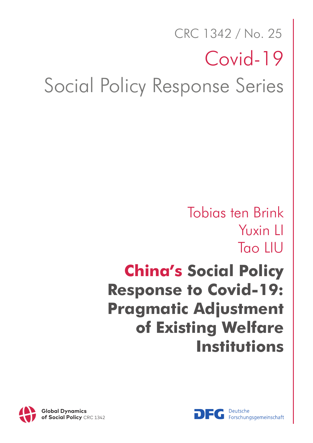# Social Policy Response Series Covid-19 CRC 1342 / No. 25

## Tobias ten Brink Yuxin LI Tao LIU

## **China's Social Policy Response to Covid-19: Pragmatic Adjustment of Existing Welfare Institutions**



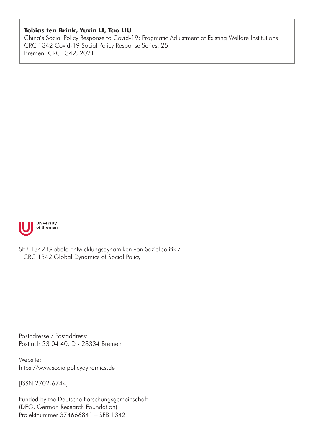#### **Tobias ten Brink, Yuxin LI, Tao LIU**

China's Social Policy Response to Covid-19: Pragmatic Adjustment of Existing Welfare Institutions CRC 1342 Covid-19 Social Policy Response Series, 25 Bremen: CRC 1342, 2021



SFB 1342 Globale Entwicklungsdynamiken von Sozialpolitik / CRC 1342 Global Dynamics of Social Policy

Postadresse / Postaddress: Postfach 33 04 40, D - 28334 Bremen

Website: https://www.socialpolicydynamics.de

[ISSN 2702-6744]

Funded by the Deutsche Forschungsgemeinschaft (DFG, German Research Foundation) Projektnummer 374666841 – SFB 1342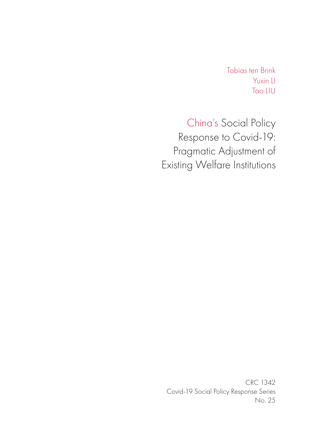Tobias ten Brink Yuxin LI Tao LIU

China's Social Policy Response to Covid-19: Pragmatic Adjustment of Existing Welfare Institutions

CRC 1342 Covid-19 Social Policy Response Series No. 25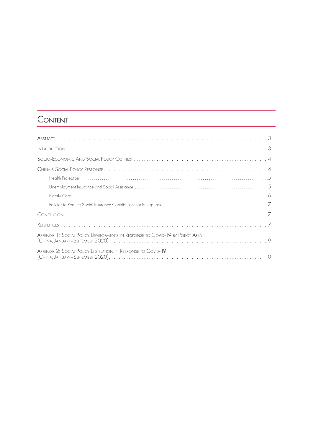### **CONTENT**

| APPENDIX 1: SOCIAL POLICY DEVELOPMENTS IN RESPONSE TO COVID-19 BY POLICY AREA |
|-------------------------------------------------------------------------------|
| APPENDIX 2: SOCIAL POLICY LEGISLATION IN RESPONSE TO COVID-19                 |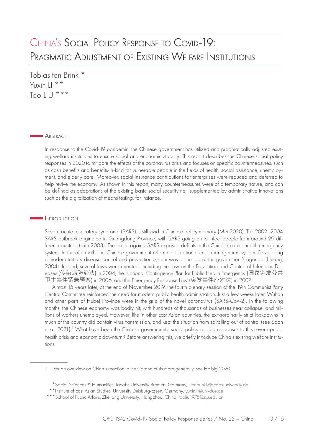### <span id="page-4-0"></span>CHINA'S SOCIAL POLICY RESPONSE TO COVID-19: PRAGMATIC ADJUSTMENT OF EXISTING WELFARE INSTITUTIONS

Tobias ten Brink \* Yuxin LI \*\* Tao LIU  $***$ 

#### **ABSTRACT**

In response to the Covid-19 pandemic, the Chinese government has utilized and pragmatically adjusted existing welfare institutions to ensure social and economic stability. This report describes the Chinese social policy responses in 2020 to mitigate the effects of the coronavirus crisis and focuses on specific countermeasures, such as cash benefits and benefits-in-kind for vulnerable people in the fields of health, social assistance, unemployment, and elderly care. Moreover, social insurance contributions for enterprises were reduced and deferred to help revive the economy. As shown in this report, many countermeasures were of a temporary nature, and can be defined as adaptations of the existing basic social security net, supplemented by administrative innovations such as the digitalization of means testing, for instance.

#### **INTRODUCTION**

Severe acute respiratory syndrome (SARS) is still vivid in Chinese policy memory (Mei 2020). The 2002–2004 SARS outbreak originated in Guangdong Province, with SARS going on to infect people from around 29 different countries (Lam 2003). The battle against SARS exposed deficits in the Chinese public health emergency system. In the aftermath, the Chinese government reformed its national crisis management system. Developing a modern tertiary disease control and prevention system was at the top of the government's agenda (Huang, 2004). Indeed, several laws were enacted, including the Law on the Prevention and Control of Infectious Diseases (传染病防治法) in 2004, the National Contingency Plan for Public Health Emergency (国家突发公共 卫生事件紧急预案) in 2006, and the Emergency Response Law (突发事件应对法) in 2007.

Almost 15 years later, at the end of November 2019, the fourth plenary session of the 19th Communist Party Central Committee reinforced the need for modern public health administration. Just a few weeks later, Wuhan and other parts of Hubei Province were in the grip of the novel coronavirus (SARS-CoV-2). In the following months, the Chinese economy was badly hit, with hundreds of thousands of businesses near collapse, and millions of workers unemployed. However, like in other East Asian countries, the extraordinarily strict lockdowns in much of the country did contain virus transmission, and kept the situation from spiralling out of control (see Soon et al. 2021).<sup>1</sup> What have been the Chinese government's social policy-related responses to this severe public health crisis and economic downturn? Before answering this, we briefly introduce China's existing welfare institutions.

<sup>1</sup> For an overview on China's reaction to the Corona crisis more generally, see Holbig 2020.

<sup>\*</sup>Social Sciences & Humanities, Jacobs University Bremen, Germany, [t.tenbrink@jacobs-university.de](mailto:t.tenbrink@jacobs-university.de)

<sup>\*\*</sup>Institute of East Asian Studies, University Duisburg-Essen, Germany, [yuxin.li@uni-due.de](mailto:yuxin.li@uni-due.de)

<sup>\*\*\*</sup>School of Public Affairs, Zhejiang University, Hangzhou, China, taoliu 1975@zju.edu.cn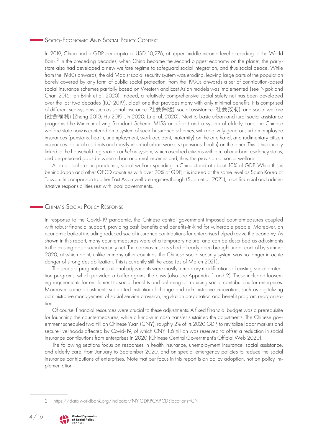#### <span id="page-5-0"></span>Socio-Economic And Social Policy Context

In 2019, China had a GDP per capita of USD 10,276, at upper-middle income level according to the World Bank.<sup>2</sup> In the preceding decades, when China became the second biggest economy on the planet, the partystate also had developed a new welfare regime to safeguard social integration, and thus social peace. While from the 1980s onwards, the old Maoist social security system was eroding, leaving large parts of the population barely covered by any form of public social protection, from the 1990s onwards a set of contribution-based social insurance schemes partially based on Western and East Asian models was implemented (see Ngok and Chan 2016; ten Brink et al. 2020). Indeed, a relatively comprehensive social safety net has been developed over the last two decades (ILO 2019), albeit one that provides many with only minimal benefits. It is comprised of different sub-systems such as social insurance (社会保险), social assistance (社会救助), and social welfare (社会福利) (Zheng 2010; Hu 2019; Jin 2020; Lu et al. 2020). Next to basic urban and rural social assistance programs (the Minimum Living Standard Scheme MLSS or *dibao*) and a system of elderly care, the Chinese welfare state now is centered on a system of social insurance schemes, with relatively generous urban employee insurances (pensions, health, unemployment, work accident, maternity) on the one hand, and rudimentary citizen insurances for rural residents and mostly informal urban workers (pensions, health) on the other. This is historically linked to the household registration or *hukou* system, which ascribed citizens with a rural or urban residency status, and perpetuated gaps between urban and rural incomes and, thus, the provision of social welfare.

All in all, before the pandemic, social welfare spending in China stood at about 10% of GDP. While this is behind Japan and other OECD countries with over 20% of GDP, it is indeed at the same level as South Korea or Taiwan. In comparison to other East Asian welfare regimes though (Soon et al. 2021), most financial and administrative responsibilities rest with local governments.

#### China's Social Policy Response

In response to the Covid-19 pandemic, the Chinese central government imposed countermeasures coupled with robust financial support, providing cash benefits and benefits-in-kind for vulnerable people. Moreover, an economic bailout including reduced social insurance contributions for enterprises helped revive the economy. As shown in this report, many countermeasures were of a temporary nature, and can be described as adjustments to the existing basic social security net. The coronavirus crisis had already been brought under control by summer 2020, at which point, unlike in many other countries, the Chinese social security system was no longer in acute danger of strong destabilization. This is currently still the case (as of March 2021).

The series of pragmatic institutional adjustments were mostly temporary modifications of existing social protection programs, which provided a buffer against the crisis (also see Appendix 1 and 2). These included loosening requirements for entitlement to social benefits and deferring or reducing social contributions for enterprises. Moreover, some adjustments supported institutional change and administrative innovation, such as digitalizing administrative management of social service provision, legislation preparation and benefit program reorganisation.

Of course, financial resources were crucial to these adjustments. A fixed financial budget was a prerequisite for launching the countermeasures, while a lump-sum cash transfer sustained the adjustments. The Chinese government scheduled two trillion Chinese Yuan (CNY), roughly 2% of its 2020 GDP, to revitalize labor markets and secure livelihoods affected by Covid-19, of which CNY 1.6 trillion was reserved to offset a reduction in social insurance contributions from enterprises in 2020 (Chinese Central Government's Official Web 2020).

The following sections focus on responses in health insurance, unemployment insurance, social assistance, and elderly care, from January to September 2020, and on special emergency policies to reduce the social insurance contributions of enterprises. Note that our focus in this report is on policy adoption, not on policy implementation.

<sup>2</sup> <https://data.worldbank.org/indicator/NY.GDP.PCAP.CD?locations=CN>

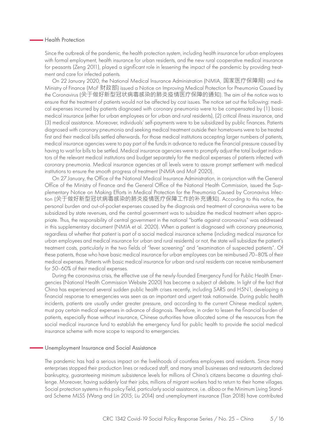#### <span id="page-6-0"></span>Health Protection

Since the outbreak of the pandemic, the health protection system, including health insurance for urban employees with formal employment, health insurance for urban residents, and the new rural cooperative medical insurance for peasants (Zeng 2011), played a significant role in lessening the impact of the pandemic by providing treatment and care for infected patients.

On 22 January 2020, the National Medical Insurance Administration (NMIA, 国家医疗保障局) and the Ministry of Finance (MoF 财政部) issued a Notice on Improving Medical Protection for Pneumonia Caused by the Coronavirus (关于做好新型冠状病毒感染的肺炎疫情医疗保障的通知). The aim of the notice was to ensure that the treatment of patients would not be affected by cost issues. The notice set out the following: medical expenses incurred by patients diagnosed with coronary pneumonia were to be compensated by (1) basic medical insurance (either for urban employees or for urban and rural residents), (2) critical illness insurance, and (3) medical assistance. Moreover, individuals' self-payments were to be subsidized by public finances. Patients diagnosed with coronary pneumonia and seeking medical treatment outside their hometowns were to be treated first and their medical bills settled afterwards. For those medical institutions accepting larger numbers of patients, medical insurance agencies were to pay part of the funds in advance to reduce the financial pressure caused by having to wait for bills to be settled. Medical insurance agencies were to promptly adjust the total budget indicators of the relevant medical institutions and budget separately for the medical expenses of patients infected with coronary pneumonia. Medical insurance agencies at all levels were to assure prompt settlement with medical institutions to ensure the smooth progress of treatment (NMIA and MoF 2020).

On 27 January, the Office of the National Medical Insurance Administration, in conjunction with the General Office of the Ministry of Finance and the General Office of the National Health Commission, issued the Supplementary Notice on Making Efforts in Medical Protection for the Pneumonia Caused by Coronavirus Infection (关于做好新型冠状病毒感染的肺炎疫情医疗保障工作的补充通知). According to this notice, the personal burden and out-of-pocket expenses caused by the diagnosis and treatment of coronavirus were to be subsidized by state revenues, and the central government was to subsidize the medical treatment when appropriate. Thus, the responsibility of central government in the national "battle against coronavirus" was addressed in this supplementary document (NMIA et al. 2020). When a patient is diagnosed with coronary pneumonia, regardless of whether that patient is part of a social medical insurance scheme (including medical insurance for urban employees and medical insurance for urban and rural residents) or not, the state will subsidize the patient's treatment costs, particularly in the two fields of "fever screening" and "examination of suspected patients". Of these patients, those who have basic medical insurance for urban employees can be reimbursed 70–80% of their medical expenses. Patients with basic medical insurance for urban and rural residents can receive reimbursement for 50–60% of their medical expenses.

During the coronavirus crisis, the effective use of the newly-founded Emergency Fund for Public Health Emergencies (National Health Commission Website 2020) has become a subject of debate. In light of the fact that China has experienced several sudden public health crises recently, including SARS and H5N1, developing a financial response to emergencies was seen as an important and urgent task nationwide. During public health incidents, patients are usually under greater pressure, and according to the current Chinese medical system, must pay certain medical expenses in advance of diagnosis. Therefore, in order to lessen the financial burden of patients, especially those without insurance, Chinese authorities have allocated some of the resources from the social medical insurance fund to establish the emergency fund for public health to provide the social medical insurance scheme with more scope to respond to emergencies.

#### Unemployment Insurance and Social Assistance

The pandemic has had a serious impact on the livelihoods of countless employees and residents. Since many enterprises stopped their production lines or reduced staff, and many small businesses and restaurants declared bankruptcy, guaranteeing minimum subsistence levels for millions of China's citizens became a daunting challenge. Moreover, having suddenly lost their jobs, millions of migrant workers had to return to their home villages. Social protection systems in this policy field, particularly social assistance, i.e. *dibao* or the Minimum Living Standard Scheme MLSS (Wang and Lin 2015; Liu 2014) and unemployment insurance (Tian 2018) have contributed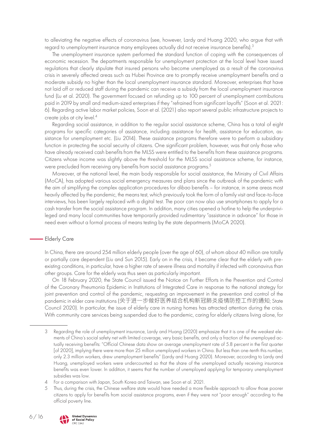<span id="page-7-0"></span>to alleviating the negative effects of coronavirus (see, however, Lardy and Huang 2020, who argue that with regard to unemployment insurance many employees actually did not receive insurance benefits).<sup>3</sup>

The unemployment insurance system performed the standard function of coping with the consequences of economic recession. The departments responsible for unemployment protection at the local level have issued regulations that clearly stipulate that insured persons who become unemployed as a result of the coronavirus crisis in severely affected areas such as Hubei Province are to promptly receive unemployment benefits and a moderate subsidy no higher than the local unemployment insurance standard. Moreover, enterprises that have not laid off or reduced staff during the pandemic can receive a subsidy from the local unemployment insurance fund (Lu et al. 2020). The government focused on refunding up to 100 percent of unemployment contributions paid in 2019 by small and medium-sized enterprises if they "refrained from significant layoffs" (Soon et al. 2021: 6). Regarding active labor market policies, Soon et al. (2021) also report several public infrastructure projects to create jobs at city level.4

Regarding social assistance, in addition to the regular social assistance scheme, China has a total of eight programs for specific categories of assistance, including assistance for health, assistance for education, assistance for unemployment etc. (Liu 2014). These assistance programs therefore were to perform a subsidiary function in protecting the social security of citizens. One significant problem, however, was that only those who have already received cash benefits from the MLSS were entitled to the benefits from these assistance programs. Citizens whose income was slightly above the threshold for the MLSS social assistance scheme, for instance, were precluded from receiving any benefits from social assistance programs.<sup>5</sup>

Moreover, at the national level, the main body responsible for social assistance, the Ministry of Civil Affairs (MoCA), has adopted various social emergency measures and plans since the outbreak of the pandemic with the aim of simplifying the complex application procedures for *dibao* benefits – for instance, in some areas most heavily affected by the pandemic, the means test, which previously took the form of a family visit and face-to-face interviews, has been largely replaced with a digital test. The poor can now also use smartphones to apply for a cash transfer from the social assistance program. In addition, many cities opened a hotline to help the underprivileged and many local communities have temporarily provided rudimentary "assistance in advance" for those in need even without a formal process of means testing by the state departments (MoCA 2020).

#### Elderly Care

In China, there are around 254 million elderly people (over the age of 60), of whom about 40 million are totally or partially care dependent (Liu and Sun 2015). Early on in the crisis, it became clear that the elderly with preexisting conditions, in particular, have a higher rate of severe illness and mortality if infected with coronavirus than other groups. Care for the elderly was thus seen as particularly important.

On 18 February 2020, the State Council issued the Notice on Further Efforts in the Prevention and Control of the Coronary Pneumonia Epidemic in Institutions of Integrated Care in response to the national strategy for joint prevention and control of the pandemic, requesting an improvement in the prevention and control of the pandemic in elder care institutions (关于进一步做好医养结合机构新冠肺炎疫情防控工作的通知; State Council 2020). In particular, the issue of elderly care in nursing homes has attracted attention during the crisis. With community care services being suspended due to the pandemic, caring for elderly citizens living alone, for

<sup>5</sup> Thus, during the crisis, the Chinese welfare state would have needed a more flexible approach to allow those poorer citizens to apply for benefits from social assistance programs, even if they were not "poor enough" according to the official poverty line.



<sup>3</sup> Regarding the role of unemployment insurance, Lardy and Huang (2020) emphasize that it is one of the weakest elements of China's social safety net with limited coverage, very basic benefits, and only a fraction of the unemployed actually receiving benefits: "Official Chinese data show an average unemployment rate of 5.8 percent in the first quarter [of 2020], implying there were more than 25 million unemployed workers in China. But less than one-tenth this number, only 2.3 million workers, drew unemployment benefits" (Lardy and Huang 2020). Moreover, according to Lardy and Huang, unemployed workers were undercounted so that the share of the unemployed actually receiving insurance benefits was even lower. In addition, it seems that the number of unemployed applying for temporary unemployment subsidies was low.

<sup>4</sup> For a comparison with Japan, South Korea and Taiwan, see Soon et al. 2021.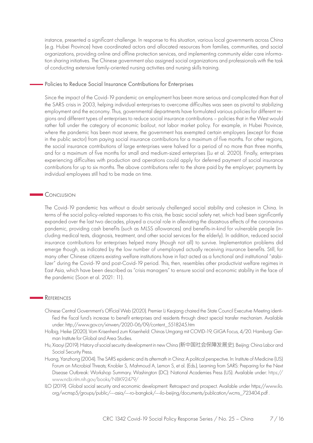<span id="page-8-0"></span>instance, presented a significant challenge. In response to this situation, various local governments across China (e.g. Hubei Province) have coordinated actors and allocated resources from families, communities, and social organizations, providing online and offline protection services, and implementing community elder care information sharing initiatives. The Chinese government also assigned social organizations and professionals with the task of conducting extensive family-oriented nursing activities and nursing skills training.

#### Policies to Reduce Social Insurance Contributions for Enterprises

Since the impact of the Covid-19 pandemic on employment has been more serious and complicated than that of the SARS crisis in 2003, helping individual enterprises to overcome difficulties was seen as pivotal to stabilizing employment and the economy. Thus, governmental departments have formulated various policies for different regions and different types of enterprises to reduce social insurance contributions – policies that in the West would rather fall under the category of economic bailout, not labor market policy. For example, in Hubei Province, where the pandemic has been most severe, the government has exempted certain employers (except for those in the public sector) from paying social insurance contributions for a maximum of five months. For other regions, the social insurance contributions of large enterprises were halved for a period of no more than three months, and for a maximum of five months for small and medium-sized enterprises (Lu et al. 2020). Finally, enterprises experiencing difficulties with production and operations could apply for deferred payment of social insurance contributions for up to six months. The above contributions refer to the share paid by the employer; payments by individual employees still had to be made on time.

#### **C**ONCLUSION

The Covid-19 pandemic has without a doubt seriously challenged social stability and cohesion in China. In terms of the social policy-related responses to this crisis, the basic social safety net, which had been significantly expanded over the last two decades, played a crucial role in alleviating the disastrous effects of the coronavirus pandemic, providing cash benefits (such as MLSS allowances) and benefits-in-kind for vulnerable people (including medical tests, diagnosis, treatment, and other social services for the elderly). In addition, reduced social insurance contributions for enterprises helped many (though not all) to survive. Implementation problems did emerge though, as indicated by the low number of unemployed actually receiving insurance benefits. Still, for many other Chinese citizens existing welfare institutions have in fact acted as a functional and institutional "stabilizer" during the Covid-19 and post-Covid-19 period. This, then, resembles other productivist welfare regimes in East Asia, which have been described as "crisis managers" to ensure social and economic stability in the face of the pandemic (Soon et al. 2021: 11).

#### **REFERENCES**

- Chinese Central Government's Official Web (2020). Premier Li Keqiang chaired the State Council Executive Meeting identified the fiscal fund's increase to benefit enterprises and residents through direct special transfer mechanism. Available under: [http://www.gov.cn/xinwen/2020-06/09/content\\_5518245.htm](http://www.gov.cn/xinwen/2020-06/09/content_5518245.htm)
- Holbig, Heike (2020). Vom Krisenherd zum Krisenheld: Chinas Umgang mit COVID-19, GIGA Focus, 4/20. Hamburg: German Institute for Global and Area Studies.
- Hu, Xiaoyi (2019). History of social security development in new China (新中国社会保障发展史). Beijing: China Labor and Social Security Press.
- Huang, Yanzhong (2004). The SARS epidemic and its aftermath in China: A political perspective. In: Institute of Medicine (US) Forum on Microbial Threats; Knobler S, Mahmoud A, Lemon S, et al. (Eds.), Learning from SARS: Preparing for the Next Disease Outbreak: Workshop Summary. Washington (DC): National Academies Press (US). Available under: [https://](https://www.ncbi.nlm.nih.gov/books/NBK92479/) [www.ncbi.nlm.nih.gov/books/NBK92479/](https://www.ncbi.nlm.nih.gov/books/NBK92479/)
- ILO (2019). Global social security and economic development: Retrospect and prospect. Available under [https://www.ilo.](https://www.ilo.org/wcmsp5/groups/public/---asia/---ro-bangkok/---ilo-beijing/documents/publication/wcms_723404.pdf) [org/wcmsp5/groups/public/---asia/---ro-bangkok/---ilo-beijing/documents/publication/wcms\\_723404.pdf](https://www.ilo.org/wcmsp5/groups/public/---asia/---ro-bangkok/---ilo-beijing/documents/publication/wcms_723404.pdf) .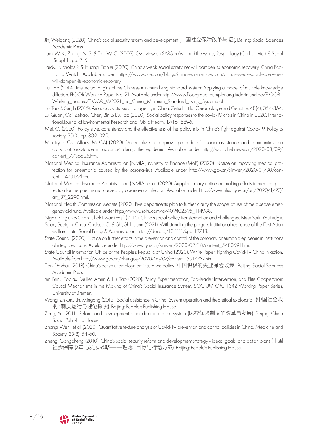- Jin, Weigang (2020). China's social security reform and development (中国社会保障改革与 展). Beijing: Social Sciences Academic Press.
- Lam, W. K., Zhong, N. S. & Tan, W. C. (2003). Overview on SARS in Asia and the world, Respirology (Carlton, Vic.), 8 Suppl (Suppl 1), pp. 2–5.
- Lardy, Nicholas R & Huang, Tianlei (2020): China's weak social safety net will dampen its economic recovery, China Economic Watch. Available under [https://www.piie.com/blogs/china-economic-watch/chinas-weak-social-safety-net](https://www.piie.com/blogs/china-economic-watch/chinas-weak-social-safety-net-will-dampen-its-economic-recovery)[will-dampen-its-economic-recovery](https://www.piie.com/blogs/china-economic-watch/chinas-weak-social-safety-net-will-dampen-its-economic-recovery)
- Liu, Tao (2014). Intellectual origins of the Chinese minimum living standard system: Applying a model of multiple knowledge diffusion. FLOOR Working Paper No. 21. Available under [http://www.floorgroup.raumplanung.tudortmund.de/FLOOR\\_](http://www.floorgroup.raumplanung.tudortmund.de/FLOOR_Working_papers/FLOOR_WP021_Liu_China_Minimum_Standard_Living_System.pdf) [Working\\_papers/FLOOR\\_WP021\\_Liu\\_China\\_Minimum\\_Standard\\_Living\\_System.pdf](http://www.floorgroup.raumplanung.tudortmund.de/FLOOR_Working_papers/FLOOR_WP021_Liu_China_Minimum_Standard_Living_System.pdf)
- Liu, Tao & Sun, Li (2015). An apocalyptic vision of ageing in China. Zeitschrift für Gerontologie und Geriatrie, 48(4), 354-364.
- Lu, Quan., Cai, Zehao., Chen, Bin & Liu, Tao (2020). Social policy responses to the covid-19 crisis in China in 2020. International Journal of Environmental Research and Public Health, 17(16), 5896.
- Mei, C. (2020). Policy style, consistency and the effectiveness of the policy mix in China's fight against Covid-19. Policy & society, 39(3), pp. 309–325.
- Ministry of Civil Affairs (MoCA) (2020). Decentralize the approval procedure for social assistance, and communities can carry out 'assistance in advance' during the epidemic. Available under [http://world.hebnews.cn/2020-03/09/](http://world.hebnews.cn/2020-03/09/content_7736625.htm) [content\\_7736625.htm](http://world.hebnews.cn/2020-03/09/content_7736625.htm).
- National Medical Insurance Administration (NMIA), Ministry of Finance (MoF) (2020). Notice on improving medical protection for pneumonia caused by the coronavirus. Available under [http://www.gov.cn/xinwen/2020-01/30/con](http://www.gov.cn/xinwen/2020-01/30/content_5473177.htm)[tent\\_5473177.htm](http://www.gov.cn/xinwen/2020-01/30/content_5473177.htm).
- National Medical Insurance Administration (NMIA) et al. (2020). Supplementary notice on making efforts in medical protection for the pneumonia caused by coronavirus infection. Available under [http://www.nhsa.gov.cn/art/2020/1/27/](http://www.nhsa.gov.cn/art/2020/1/27/art_37_2290.html) [art\\_37\\_2290.html](http://www.nhsa.gov.cn/art/2020/1/27/art_37_2290.html).
- National Health Commission website (2020). Five departments plan to further clarify the scope of use of the disease emergency aid fund. Available under [https://www.sohu.com/a/409402595\\_114988.](https://www.sohu.com/a/409402595_114988)
- Ngok, Kinglun & Chan, Chak Kwan (Eds.) (2016). China's social policy, transformation and challenges. New York: Routledge.
- Soon, Suetgiin, Chou, Chelsea C. & Shi, Shih-Jiunn (2021). Withstanding the plague: Institutional resilience of the East Asian welfare state. Social Policy & Administration. [https://doi.org/10.1111/spol.12713.](https://doi.org/10.1111/spol.12713)
- State Council (2020). Notice on further efforts in the prevention and control of the coronary pneumonia epidemic in institutions of integrated care. Available under [http://www.gov.cn/xinwen/2020-02/18/content\\_5480591.htm.](http://www.gov.cn/xinwen/2020-02/18/content_5480591.htm)
- State Council Information Office of the People's Republic of China (2020). White Paper: Fighting Covid-19 China in action. Available from [http://www.gov.cn/zhengce/2020-06/07/content\\_5517737.htm](http://www.gov.cn/zhengce/2020-06/07/content_5517737.htm)
- Tian, Dazhou (2018). China's active unemployment insurance policy (中国积极的失业保险政策). Beijing: Social Sciences Academic Press.
- ten Brink, Tobias, Müller, Armin & Liu, Tao (2020). Policy Experimentation, Top-leader Intervention, and Elite Cooperation: Causal Mechanisms in the Making of China's Social Insurance System. SOCIUM CRC 1342 Working Paper Series, University of Bremen.
- Wang, Zhikun., Lin, Mingang (2015). Social assistance in China: System operation and theoretical exploration (中国社会救 助:制度运行与理论探索). Beijing: People's Publishing House.
- Zeng, Yu (2011). Reform and development of medical insurance system (医疗保险制度的改革与发展). Beijing: China Social Publishing House.
- Zhang, Wenli et al. (2020). Quantitative texture analysis of Covid-19 prevention and control policies in China. Medicine and Society, 33(8): 54-60.
- Zheng, Gongcheng (2010). China's social security reform and development strategy ideas, goals, and action plans (中国 社会保障改革与发展战略——理念、目标与行动方案). Beijing: People's Publishing House.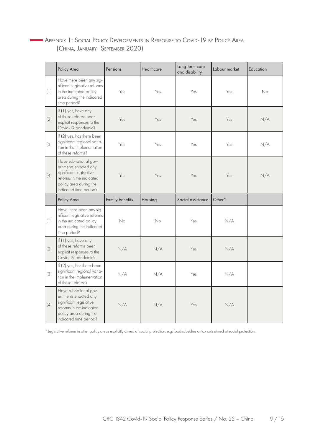#### <span id="page-10-0"></span>Appendix 1: Social Policy Developments in Response to Covid-19 by Policy Area (China, January–September 2020)

|     | Policy Area                                                                                                                                              | Pensions        | Healthcare | Long-term care<br>and disability | Labour market | Education |
|-----|----------------------------------------------------------------------------------------------------------------------------------------------------------|-----------------|------------|----------------------------------|---------------|-----------|
| (1) | Have there been any sig-<br>nificant legislative reforms<br>in the indicated policy<br>area during the indicated<br>time period?                         | Yes             | Yes        | Yes                              | Yes           | No        |
| (2) | If (1) yes, have any<br>of these reforms been<br>explicit responses to the<br>Covid-19 pandemic?                                                         | Yes             | Yes        | Yes                              | Yes           | N/A       |
| (3) | If (2) yes, has there been<br>significant regional varia-<br>tion in the implementation<br>of these reforms?                                             | Yes             | Yes        | Yes                              | Yes           | N/A       |
| (4) | Have subnational gov-<br>ernments enacted any<br>significant legislative<br>reforms in the indicated<br>policy area during the<br>indicated time period? | Yes             | Yes        | Yes                              | Yes           | N/A       |
|     | Policy Area                                                                                                                                              | Family benefits | Housing    | Social assistance                | Other*        |           |
| (1) | Have there been any sig-<br>nificant legislative reforms<br>in the indicated policy<br>area during the indicated<br>time period?                         | No              | No         | Yes                              | N/A           |           |
| (2) | If (1) yes, have any<br>of these reforms been<br>explicit responses to the<br>Covid-19 pandemic?                                                         | N/A             | N/A        | Yes                              | N/A           |           |
| (3) | If (2) yes, has there been<br>significant regional varia-<br>tion in the implementation<br>of these reforms?                                             | N/A             | N/A        | Yes                              | N/A           |           |
|     | Have subnational gov-                                                                                                                                    |                 |            |                                  |               |           |

*\** Legislative reforms in other policy areas explicitly aimed at social protection, e.g. food subsidies or tax cuts aimed at social protection.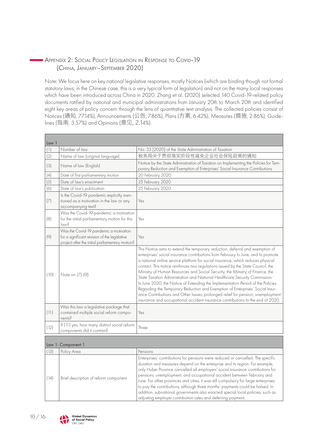#### <span id="page-11-0"></span>Appendix 2: Social Policy Legislation in Response to Covid-19 (China, January–September 2020)

Note: We focus here on key national legislative responses, mostly Notices (which are binding though not formal statutory laws; in the Chinese case, this is a very typical form of legislation) and not on the many local responses which have been introduced across China in 2020. Zhang et al. (2020) selected 140 Covid-19-related policy documents ratified by national and municipal administrations from January 20th to March 20th and identified eight key areas of policy concern through the lens of quantitative text analysis. The collected policies consist of Notices (通知, 77.14%), Announcements (公告, 7.86%), Plans (方案, 6.42%), Measures (措施, 2.86%), Guidelines (指南, 3.57%) and Opinions (意见, 2.14%).

|                        | Law 1                                                                                                                                      |                                                                                                                                                                                                                                                                                                                                                                                                                                                                                                                                                                                                                                                                                                                                                                                                                                                    |  |  |  |
|------------------------|--------------------------------------------------------------------------------------------------------------------------------------------|----------------------------------------------------------------------------------------------------------------------------------------------------------------------------------------------------------------------------------------------------------------------------------------------------------------------------------------------------------------------------------------------------------------------------------------------------------------------------------------------------------------------------------------------------------------------------------------------------------------------------------------------------------------------------------------------------------------------------------------------------------------------------------------------------------------------------------------------------|--|--|--|
| (1)                    | Number of law                                                                                                                              | No. 33 [2020] of the State Administration of Taxation                                                                                                                                                                                                                                                                                                                                                                                                                                                                                                                                                                                                                                                                                                                                                                                              |  |  |  |
| (2)                    | Name of law (original language)                                                                                                            | 税务局关于贯彻落实阶段性减免企业社会保险政策的通知                                                                                                                                                                                                                                                                                                                                                                                                                                                                                                                                                                                                                                                                                                                                                                                                                          |  |  |  |
| (3)                    | Name of law (English)                                                                                                                      | Notice by the State Administration of Taxation on Implementing the Policies for Tem-<br>porary Reduction and Exemption of Enterprises' Social Insurance Contributions                                                                                                                                                                                                                                                                                                                                                                                                                                                                                                                                                                                                                                                                              |  |  |  |
| (4)                    | Date of first parliamentary motion                                                                                                         | 20 February 2020                                                                                                                                                                                                                                                                                                                                                                                                                                                                                                                                                                                                                                                                                                                                                                                                                                   |  |  |  |
| (5)                    | Date of law's enactment                                                                                                                    | 25 February 2020                                                                                                                                                                                                                                                                                                                                                                                                                                                                                                                                                                                                                                                                                                                                                                                                                                   |  |  |  |
| (6)                    | Date of law's publication                                                                                                                  | 25 February 2020                                                                                                                                                                                                                                                                                                                                                                                                                                                                                                                                                                                                                                                                                                                                                                                                                                   |  |  |  |
| (7)                    | Is the Covid-19 pandemic explicitly men-<br>tioned as a motivation in the law or any<br>accompanying text?                                 | Yes                                                                                                                                                                                                                                                                                                                                                                                                                                                                                                                                                                                                                                                                                                                                                                                                                                                |  |  |  |
| (8)                    | Was the Covid-19 pandemic a motivation<br>for the initial parliamentary motion for this<br>law <sub>S</sub>                                | Yes                                                                                                                                                                                                                                                                                                                                                                                                                                                                                                                                                                                                                                                                                                                                                                                                                                                |  |  |  |
| $\left( \circ \right)$ | Was the Covid-19 pandemic a motivation<br>for a significant revision of the legislative<br>project after the initial parliamentary motion? | Yes                                                                                                                                                                                                                                                                                                                                                                                                                                                                                                                                                                                                                                                                                                                                                                                                                                                |  |  |  |
| (10)                   | Note on (7)-(9)                                                                                                                            | This Notice aims to extend the temporary reduction, deferral and exemption of<br>enterprises' social insurance contributions from February to June, and to promote<br>a national online service platform for social insurance, which reduces physical<br>contact. This notice reinforces two regulations issued by the State Council, the<br>Ministry of Human Resources and Social Security, the Ministry of Finance, the<br>State Taxation Administration and National Healthcare Security Commission.<br>In June 2020, the Notice of Extending the Implementation Period of the Policies<br>Regarding the Temporary Reduction and Exemption of Enterprises' Social Insur-<br>ance Contributions and Other Issues, prolonged relief for pension, unemployment<br>insurance and occupational accident insurance contributions to the end of 2020. |  |  |  |
| (11)                   | Was this law a legislative package that<br>contained multiple social reform compo-<br>nents?                                               | Yes                                                                                                                                                                                                                                                                                                                                                                                                                                                                                                                                                                                                                                                                                                                                                                                                                                                |  |  |  |
| (12)                   | If (11) yes, how many distinct social reform<br>components did it contain?                                                                 | Three                                                                                                                                                                                                                                                                                                                                                                                                                                                                                                                                                                                                                                                                                                                                                                                                                                              |  |  |  |
|                        | Law 1: Component 1                                                                                                                         |                                                                                                                                                                                                                                                                                                                                                                                                                                                                                                                                                                                                                                                                                                                                                                                                                                                    |  |  |  |
| (13)                   | Policy Area                                                                                                                                | Pensions                                                                                                                                                                                                                                                                                                                                                                                                                                                                                                                                                                                                                                                                                                                                                                                                                                           |  |  |  |
| (14)                   | Brief description of reform component                                                                                                      | Enterprises' contributions for pensions were reduced or cancelled. The specific<br>duration and measures depend on the enterprise and its region. For example,<br>only Hubei Province cancelled all employers' social insurance contributions for<br>pensions, unemployment, and occupational accident between February and<br>June. For other provinces and cities, it was still compulsory for large enterprises<br>to pay the contributions, although three months' payments could be halved. In<br>addition, subnational governments also enacted special local policies, such as<br>adjusting employer contribution rates and deferring payment.                                                                                                                                                                                              |  |  |  |



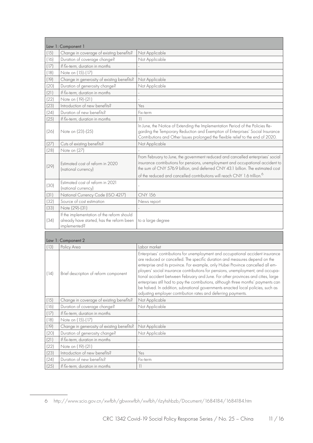|              | Law 1: Component 1                                                                                      |                                                                                                                                                                                                                                                                                                                                                                                                                                                                                                                                                                                                                                                                    |
|--------------|---------------------------------------------------------------------------------------------------------|--------------------------------------------------------------------------------------------------------------------------------------------------------------------------------------------------------------------------------------------------------------------------------------------------------------------------------------------------------------------------------------------------------------------------------------------------------------------------------------------------------------------------------------------------------------------------------------------------------------------------------------------------------------------|
| (15)         | Change in coverage of existing benefits?                                                                | Not Applicable                                                                                                                                                                                                                                                                                                                                                                                                                                                                                                                                                                                                                                                     |
| (16)         | Duration of coverage change?                                                                            | Not Applicable                                                                                                                                                                                                                                                                                                                                                                                                                                                                                                                                                                                                                                                     |
| (17)         | If fix-term, duration in months                                                                         |                                                                                                                                                                                                                                                                                                                                                                                                                                                                                                                                                                                                                                                                    |
| (18)         | Note on (15)-(17)                                                                                       |                                                                                                                                                                                                                                                                                                                                                                                                                                                                                                                                                                                                                                                                    |
| (19)         | Change in generosity of existing benefits?                                                              | Not Applicable                                                                                                                                                                                                                                                                                                                                                                                                                                                                                                                                                                                                                                                     |
| (20)         | Duration of generosity change?                                                                          | Not Applicable                                                                                                                                                                                                                                                                                                                                                                                                                                                                                                                                                                                                                                                     |
| (21)         | If fix-term, duration in months                                                                         |                                                                                                                                                                                                                                                                                                                                                                                                                                                                                                                                                                                                                                                                    |
| (22)         | Note on (19)-(21)                                                                                       |                                                                                                                                                                                                                                                                                                                                                                                                                                                                                                                                                                                                                                                                    |
| (23)         | Introduction of new benefits?                                                                           | Yes                                                                                                                                                                                                                                                                                                                                                                                                                                                                                                                                                                                                                                                                |
| (24)         | Duration of new benefits?                                                                               | Fix-term                                                                                                                                                                                                                                                                                                                                                                                                                                                                                                                                                                                                                                                           |
| (25)         | If fix-term, duration in months                                                                         | $\overline{\phantom{a}}$                                                                                                                                                                                                                                                                                                                                                                                                                                                                                                                                                                                                                                           |
| (26)         | Note on (23)-(25)                                                                                       | In June, the Notice of Extending the Implementation Period of the Policies Re-<br>garding the Temporary Reduction and Exemption of Enterprises' Social Insurance<br>Contributions and Other Issues prolonged the flexible relief to the end of 2020.                                                                                                                                                                                                                                                                                                                                                                                                               |
| (27)         | Cuts of existing benefits?                                                                              | Not Applicable                                                                                                                                                                                                                                                                                                                                                                                                                                                                                                                                                                                                                                                     |
| (28)         | Note on (27)                                                                                            |                                                                                                                                                                                                                                                                                                                                                                                                                                                                                                                                                                                                                                                                    |
| (29)         | Estimated cost of reform in 2020<br>(national currency)                                                 | From February to June, the government reduced and cancelled enterprises' social<br>insurance contributions for pensions, unemployment and occupational accident to<br>the sum of CNY 576.9 billion, and deferred CNY 43.1 billion. The estimated cost                                                                                                                                                                                                                                                                                                                                                                                                              |
|              |                                                                                                         | of the reduced and cancelled contributions will reach CNY 1.6 trillion. <sup>6</sup>                                                                                                                                                                                                                                                                                                                                                                                                                                                                                                                                                                               |
| (30)         | Estimated cost of reform in 2021<br>(national currency)                                                 |                                                                                                                                                                                                                                                                                                                                                                                                                                                                                                                                                                                                                                                                    |
| (31)         | National Currency Code (ISO 4217)                                                                       | <b>CNY 156</b>                                                                                                                                                                                                                                                                                                                                                                                                                                                                                                                                                                                                                                                     |
|              | Source of cost estimation                                                                               |                                                                                                                                                                                                                                                                                                                                                                                                                                                                                                                                                                                                                                                                    |
| (32)         |                                                                                                         | News report                                                                                                                                                                                                                                                                                                                                                                                                                                                                                                                                                                                                                                                        |
| (33)         | Note (29)-(31)                                                                                          |                                                                                                                                                                                                                                                                                                                                                                                                                                                                                                                                                                                                                                                                    |
| (34)         | If the implementation of the reform should<br>already have started, has the reform been<br>implemented? | to a large degree                                                                                                                                                                                                                                                                                                                                                                                                                                                                                                                                                                                                                                                  |
|              |                                                                                                         |                                                                                                                                                                                                                                                                                                                                                                                                                                                                                                                                                                                                                                                                    |
|              | Law 1: Component 2                                                                                      |                                                                                                                                                                                                                                                                                                                                                                                                                                                                                                                                                                                                                                                                    |
| (13)         | Policy Area                                                                                             | Labor market                                                                                                                                                                                                                                                                                                                                                                                                                                                                                                                                                                                                                                                       |
| (14)         | Brief description of reform component                                                                   | Enterprises' contributions for unemployment and occupational accident insurance<br>are reduced or cancelled. The specific duration and measures depend on the<br>enterprise and its province. For example, only Hubei Province cancelled all em-<br>ployers' social insurance contributions for pensions, unemployment, and occupa-<br>tional accident between February and June. For other provinces and cities, large<br>enterprises still had to pay the contributions, although three months' payments can<br>be halved. In addition, subnational governments enacted local policies, such as<br>adjusting employer contribution rates and deferring payments. |
| (15)         | Change in coverage of existing benefits?                                                                | Not Applicable                                                                                                                                                                                                                                                                                                                                                                                                                                                                                                                                                                                                                                                     |
| (16)         | Duration of coverage change?                                                                            | Not Applicable                                                                                                                                                                                                                                                                                                                                                                                                                                                                                                                                                                                                                                                     |
| (17)         | If fix-term, duration in months                                                                         |                                                                                                                                                                                                                                                                                                                                                                                                                                                                                                                                                                                                                                                                    |
| (18)         | Note on (15)-(17)                                                                                       |                                                                                                                                                                                                                                                                                                                                                                                                                                                                                                                                                                                                                                                                    |
| (19)         | Change in generosity of existing benefits?                                                              | Not Applicable                                                                                                                                                                                                                                                                                                                                                                                                                                                                                                                                                                                                                                                     |
| (20)         | Duration of generosity change?                                                                          | Not Applicable                                                                                                                                                                                                                                                                                                                                                                                                                                                                                                                                                                                                                                                     |
| (21)         | If fix-term, duration in months                                                                         |                                                                                                                                                                                                                                                                                                                                                                                                                                                                                                                                                                                                                                                                    |
| (22)         | Note on (19)-(21)                                                                                       |                                                                                                                                                                                                                                                                                                                                                                                                                                                                                                                                                                                                                                                                    |
| (23)         | Introduction of new benefits?                                                                           | Yes                                                                                                                                                                                                                                                                                                                                                                                                                                                                                                                                                                                                                                                                |
| (24)<br>(25) | Duration of new benefits?<br>If fix-term, duration in months                                            | Fix-term<br>$\left  \ \right $                                                                                                                                                                                                                                                                                                                                                                                                                                                                                                                                                                                                                                     |

<sup>6</sup> <http://www.scio.gov.cn/xwfbh/gbwxwfbh/xwfbh/rlzyhshbzb/Document/1684184/1684184.htm>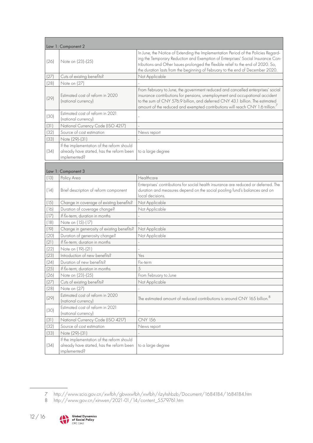|      | Law 1: Component 2                                                                                      |                                                                                                                                                                                                                                                                                                                                              |
|------|---------------------------------------------------------------------------------------------------------|----------------------------------------------------------------------------------------------------------------------------------------------------------------------------------------------------------------------------------------------------------------------------------------------------------------------------------------------|
| (26) | Note on (23)-(25)                                                                                       | In June, the Notice of Extending the Implementation Period of the Policies Regard-<br>ing the Temporary Reduction and Exemption of Enterprises' Social Insurance Con-<br>tributions and Other Issues prolonged the flexible relief to the end of 2020. So,<br>the duration lasts from the beginning of February to the end of December 2020. |
| (27) | Cuts of existing benefits?                                                                              | Not Applicable                                                                                                                                                                                                                                                                                                                               |
| (28) | Note on (27)                                                                                            |                                                                                                                                                                                                                                                                                                                                              |
| (29) | Estimated cost of reform in 2020<br>(national currency)                                                 | From February to June, the government reduced and cancelled enterprises' social<br>insurance contributions for pensions, unemployment and occupational accident<br>to the sum of CNY 576.9 billion, and deferred CNY 43.1 billion. The estimated<br>amount of the reduced and exempted contributions will reach CNY 1.6 trillion.            |
| (30) | Estimated cost of reform in 2021<br>(national currency)                                                 |                                                                                                                                                                                                                                                                                                                                              |
| (31) | National Currency Code (ISO 4217)                                                                       |                                                                                                                                                                                                                                                                                                                                              |
| (32) | Source of cost estimation                                                                               | News report                                                                                                                                                                                                                                                                                                                                  |
| (33) | Note (29)-(31)                                                                                          |                                                                                                                                                                                                                                                                                                                                              |
| (34) | If the implementation of the reform should<br>already have started, has the reform been<br>implemented? | to a large degree                                                                                                                                                                                                                                                                                                                            |
|      | Law 1: Component 3                                                                                      |                                                                                                                                                                                                                                                                                                                                              |
| (13) | Policy Area                                                                                             | Healthcare                                                                                                                                                                                                                                                                                                                                   |
| (14) | Brief description of reform component                                                                   | Enterprises' contributions for social health insurance are reduced or deferred. The<br>duration and measures depend on the social pooling fund's balances and on<br>local decisions.                                                                                                                                                         |
| (15) | Change in coverage of existing benefits?                                                                | Not Applicable                                                                                                                                                                                                                                                                                                                               |
| (16) | Duration of coverage change?                                                                            | Not Applicable                                                                                                                                                                                                                                                                                                                               |
| (17) | If fix-term, duration in months                                                                         |                                                                                                                                                                                                                                                                                                                                              |
| (18) | Note on (15)-(17)                                                                                       |                                                                                                                                                                                                                                                                                                                                              |
| (19) | Change in generosity of existing benefits?                                                              | Not Applicable                                                                                                                                                                                                                                                                                                                               |
| (20) | Duration of generosity change?                                                                          | Not Applicable                                                                                                                                                                                                                                                                                                                               |
| (21) | If fix-term, duration in months                                                                         |                                                                                                                                                                                                                                                                                                                                              |
| (22) | Note on (19)-(21)                                                                                       |                                                                                                                                                                                                                                                                                                                                              |
| (23) | Introduction of new benefits?                                                                           | Yes                                                                                                                                                                                                                                                                                                                                          |
| (24) | Duration of new benefits?                                                                               | Fix-term                                                                                                                                                                                                                                                                                                                                     |
| (25) | If fix-term, duration in months                                                                         | 5                                                                                                                                                                                                                                                                                                                                            |
| (26) | Note on (23)-(25)                                                                                       | From February to June                                                                                                                                                                                                                                                                                                                        |
| (27) | Cuts of existing benefits?                                                                              | Not Applicable                                                                                                                                                                                                                                                                                                                               |
| (28) | Note on (27)                                                                                            |                                                                                                                                                                                                                                                                                                                                              |
| (29) | Estimated cost of reform in 2020<br>(national currency)                                                 | The estimated amount of reduced contributions is around CNY 165 billion. <sup>8</sup>                                                                                                                                                                                                                                                        |
| (30) | Estimated cost of reform in 2021<br>(national currency)                                                 |                                                                                                                                                                                                                                                                                                                                              |
| (31) | National Currency Code (ISO 4217)                                                                       | <b>CNY 156</b>                                                                                                                                                                                                                                                                                                                               |
| (32) | Source of cost estimation                                                                               | News report                                                                                                                                                                                                                                                                                                                                  |
| (33) | Note (29)-(31)                                                                                          |                                                                                                                                                                                                                                                                                                                                              |
| (34) | If the implementation of the reform should<br>already have started, has the reform been<br>implemented? | to a large degree                                                                                                                                                                                                                                                                                                                            |

<sup>8</sup> [http://www.gov.cn/xinwen/2021-01/14/content\\_5579761.htm](http://www.gov.cn/xinwen/2021-01/14/content_5579761.htm)



<sup>7</sup> <http://www.scio.gov.cn/xwfbh/gbwxwfbh/xwfbh/rlzyhshbzb/Document/1684184/1684184.htm>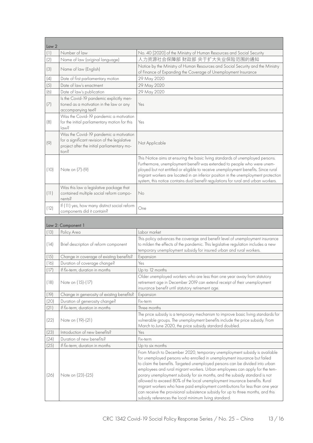| Law 2 |                                                                                                                                                 |                                                                                                                                                                                                                                                                                                                                                                                                                            |  |
|-------|-------------------------------------------------------------------------------------------------------------------------------------------------|----------------------------------------------------------------------------------------------------------------------------------------------------------------------------------------------------------------------------------------------------------------------------------------------------------------------------------------------------------------------------------------------------------------------------|--|
| (1)   | Number of law                                                                                                                                   | No. 40 [2020] of the Ministry of Human Resources and Social Security                                                                                                                                                                                                                                                                                                                                                       |  |
| (2)   | Name of law (original language)                                                                                                                 | 人力资源社会保障部 财政部 关于扩大失业保险范围的通知                                                                                                                                                                                                                                                                                                                                                                                                |  |
| (3)   | Name of law (English)                                                                                                                           | Notice by the Ministry of Human Resources and Social Security and the Ministry<br>of Finance of Expanding the Coverage of Unemployment Insurance                                                                                                                                                                                                                                                                           |  |
| (4)   | Date of first parliamentary motion                                                                                                              | 29 May 2020                                                                                                                                                                                                                                                                                                                                                                                                                |  |
| (5)   | Date of law's enactment                                                                                                                         | 29 May 2020                                                                                                                                                                                                                                                                                                                                                                                                                |  |
| (6)   | Date of law's publication                                                                                                                       | 29 May 2020                                                                                                                                                                                                                                                                                                                                                                                                                |  |
| (7)   | Is the Covid-19 pandemic explicitly men-<br>tioned as a motivation in the law or any<br>accompanying text?                                      | Yes                                                                                                                                                                                                                                                                                                                                                                                                                        |  |
| (8)   | Was the Covid-19 pandemic a motivation<br>for the initial parliamentary motion for this<br>law?                                                 | Yes                                                                                                                                                                                                                                                                                                                                                                                                                        |  |
| (9)   | Was the Covid-19 pandemic a motivation<br>for a significant revision of the legislative<br>project after the initial parliamentary mo-<br>tion? | Not Applicable                                                                                                                                                                                                                                                                                                                                                                                                             |  |
| (10)  | Note on (7)-(9)                                                                                                                                 | This Notice aims at ensuring the basic living standards of unemployed persons.<br>Furthermore, unemployment benefit was extended to people who were unem-<br>ployed but not entitled or eligible to receive unemployment benefits. Since rural<br>migrant workers are located in an inferior position in the unemployment protection<br>system, this notice contains dual benefit regulations for rural and urban workers. |  |
| (11)  | Was this law a legislative package that<br>contained multiple social reform compo-<br>nents?                                                    | No                                                                                                                                                                                                                                                                                                                                                                                                                         |  |
| (12)  | If (11) yes, how many distinct social reform<br>components did it contain?                                                                      | One                                                                                                                                                                                                                                                                                                                                                                                                                        |  |
|       | Law 2: Component 1                                                                                                                              |                                                                                                                                                                                                                                                                                                                                                                                                                            |  |
| (13)  | Policy Area                                                                                                                                     | Labor market                                                                                                                                                                                                                                                                                                                                                                                                               |  |
| (14)  | Brief description of reform component                                                                                                           | This policy advances the coverage and benefit level of unemployment insurance<br>to milden the effects of the pandemic. This legislative regulation includes a new<br>temporary unemployment subsidy for insured urban and rural workers.                                                                                                                                                                                  |  |
| (15)  | Change in coverage of existing benefits?                                                                                                        | Expansion                                                                                                                                                                                                                                                                                                                                                                                                                  |  |
| (16)  | Duration of coverage change?                                                                                                                    | Yes                                                                                                                                                                                                                                                                                                                                                                                                                        |  |
| (17)  | If fix-term, duration in months                                                                                                                 | Up to 12 months                                                                                                                                                                                                                                                                                                                                                                                                            |  |
| (18)  | Note on (15)-(17)                                                                                                                               | Older unemployed workers who are less than one year away from statutory<br>retirement age in December 2019 can extend receipt of their unemployment<br>insurance benefit until statutory retirement age.                                                                                                                                                                                                                   |  |
| (19)  | Change in generosity of existing benefits?                                                                                                      | Expansion                                                                                                                                                                                                                                                                                                                                                                                                                  |  |
| (20)  | Duration of generosity change?                                                                                                                  | Fix-term                                                                                                                                                                                                                                                                                                                                                                                                                   |  |
| (21)  | If fix-term, duration in months                                                                                                                 | Three months                                                                                                                                                                                                                                                                                                                                                                                                               |  |
| (22)  | Note on (19)-(21)                                                                                                                               | The price subsidy is a temporary mechanism to improve basic living standards for<br>vulnerable groups. The unemployment benefits include the price subsidy. From<br>March to June 2020, the price subsidy standard doubled.                                                                                                                                                                                                |  |
| (23)  | Introduction of new benefits?                                                                                                                   | Yes                                                                                                                                                                                                                                                                                                                                                                                                                        |  |
| (24)  | Duration of new benefits?                                                                                                                       | Fix-term                                                                                                                                                                                                                                                                                                                                                                                                                   |  |
| (25)  | If fix-term, duration in months                                                                                                                 | Up to six months                                                                                                                                                                                                                                                                                                                                                                                                           |  |
|       |                                                                                                                                                 | From March to December 2020, temporary unemployment subsidy is available<br>for unemployed persons who enrolled in unemployment insurance but failed<br>to claim the benefits. Targeted unemployed persons can be divided into urban<br>employees and rural migrant workers. Urban employees can apply for the tem-                                                                                                        |  |
| (26)  | Note on (23)-(25)                                                                                                                               | porary unemployment subsidy for six months, and the subsidy standard is not                                                                                                                                                                                                                                                                                                                                                |  |

subsidy references the local minimum living standard.

allowed to exceed 80% of the local unemployment insurance benefits. Rural migrant workers who have paid employment contributions for less than one year can receive the provisional subsistence subsidy for up to three months, and this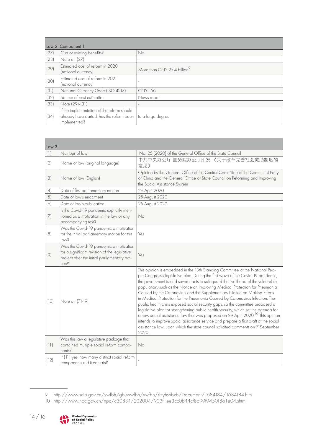| Law 2: Component 1 |                                                                                                                             |                                         |
|--------------------|-----------------------------------------------------------------------------------------------------------------------------|-----------------------------------------|
| (27)               | Cuts of existing benefits?                                                                                                  | No                                      |
| (28)               | Note on (27)                                                                                                                | ٠                                       |
| (29)               | Estimated cost of reform in 2020<br>(national currency)                                                                     | More than CNY 25.4 billion <sup>9</sup> |
| (30)               | Estimated cost of reform in 2021<br>(national currency)                                                                     | ٠                                       |
| (31)               | National Currency Code (ISO 4217)                                                                                           | <b>CNY 156</b>                          |
| (32)               | Source of cost estimation                                                                                                   | News report                             |
| (33)               | Note (29)-(31)                                                                                                              |                                         |
| (34)               | If the implementation of the reform should<br>already have started, has the reform been   to a large degree<br>implemented? |                                         |

| Law <sub>3</sub> |                                                                                                                                                 |                                                                                                                                                                                                                                                                                                                                                                                                                                                                                                                                                                                                                                                                                                                                                                                                                                                                                                                                                            |  |
|------------------|-------------------------------------------------------------------------------------------------------------------------------------------------|------------------------------------------------------------------------------------------------------------------------------------------------------------------------------------------------------------------------------------------------------------------------------------------------------------------------------------------------------------------------------------------------------------------------------------------------------------------------------------------------------------------------------------------------------------------------------------------------------------------------------------------------------------------------------------------------------------------------------------------------------------------------------------------------------------------------------------------------------------------------------------------------------------------------------------------------------------|--|
| (1)              | Number of law                                                                                                                                   | No. 25 [2020] of the General Office of the State Council                                                                                                                                                                                                                                                                                                                                                                                                                                                                                                                                                                                                                                                                                                                                                                                                                                                                                                   |  |
| (2)              | Name of law (original language)                                                                                                                 | 中共中央办公厅 国务院办公厅印发 《关于改革完善社会救助制度的<br>意见》                                                                                                                                                                                                                                                                                                                                                                                                                                                                                                                                                                                                                                                                                                                                                                                                                                                                                                                     |  |
| (3)              | Name of law (English)                                                                                                                           | Opinion by the General Office of the Central Committee of the Communist Party<br>of China and the General Office of State Council on Reforming and Improving<br>the Social Assistance System                                                                                                                                                                                                                                                                                                                                                                                                                                                                                                                                                                                                                                                                                                                                                               |  |
| (4)              | Date of first parliamentary motion                                                                                                              | 29 April 2020                                                                                                                                                                                                                                                                                                                                                                                                                                                                                                                                                                                                                                                                                                                                                                                                                                                                                                                                              |  |
| (5)              | Date of law's enactment                                                                                                                         | 25 August 2020                                                                                                                                                                                                                                                                                                                                                                                                                                                                                                                                                                                                                                                                                                                                                                                                                                                                                                                                             |  |
| (6)              | Date of law's publication                                                                                                                       | 25 August 2020                                                                                                                                                                                                                                                                                                                                                                                                                                                                                                                                                                                                                                                                                                                                                                                                                                                                                                                                             |  |
| (7)              | Is the Covid-19 pandemic explicitly men-<br>tioned as a motivation in the law or any<br>accompanying text?                                      | No                                                                                                                                                                                                                                                                                                                                                                                                                                                                                                                                                                                                                                                                                                                                                                                                                                                                                                                                                         |  |
| (8)              | Was the Covid-19 pandemic a motivation<br>for the initial parliamentary motion for this<br>$\sim$ 8                                             | Yes                                                                                                                                                                                                                                                                                                                                                                                                                                                                                                                                                                                                                                                                                                                                                                                                                                                                                                                                                        |  |
| (9)              | Was the Covid-19 pandemic a motivation<br>for a significant revision of the legislative<br>project after the initial parliamentary mo-<br>Snoit | Yes                                                                                                                                                                                                                                                                                                                                                                                                                                                                                                                                                                                                                                                                                                                                                                                                                                                                                                                                                        |  |
| (10)             | Note on (7)-(9)                                                                                                                                 | This opinion is embedded in the 13th Standing Committee of the National Peo-<br>ple Congress's legislative plan. During the first wave of the Covid-19 pandemic,<br>the government issued several acts to safeguard the livelihood of the vulnerable<br>population, such as the Notice on Improving Medical Protection for Pneumonia<br>Caused by the Coronavirus and the Supplementary Notice on Making Efforts<br>in Medical Protection for the Pneumonia Caused by Coronavirus Infection. The<br>public health crisis exposed social security gaps, so the committee proposed a<br>legislative plan for strengthening public health security, which set the agenda for<br>a new social assistance law that was proposed on 29 April 2020. <sup>10</sup> This opinion<br>intends to improve social assistance service and prepare a first draft of the social<br>assistance law, upon which the state council solicited comments on 7 September<br>2020. |  |
| (11)             | Was this law a legislative package that<br>contained multiple social reform compo-<br>nents?                                                    | No                                                                                                                                                                                                                                                                                                                                                                                                                                                                                                                                                                                                                                                                                                                                                                                                                                                                                                                                                         |  |
| (12)             | If (11) yes, how many distinct social reform<br>components did it contain?                                                                      |                                                                                                                                                                                                                                                                                                                                                                                                                                                                                                                                                                                                                                                                                                                                                                                                                                                                                                                                                            |  |



<sup>9</sup> <http://www.scio.gov.cn/xwfbh/gbwxwfbh/xwfbh/rlzyhshbzb/Document/1684184/1684184.htm>

<sup>10</sup> <http://www.npc.gov.cn/npc/c30834/202004/903f1ee3cc0b44cf8b99f945018a1e04.shtml>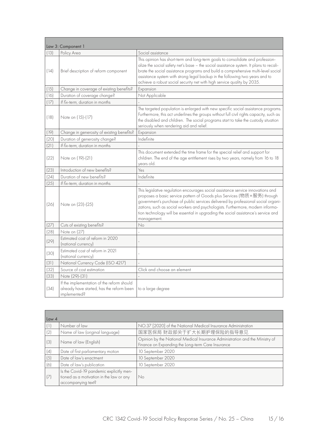|      | Law 3: Component 1                                                                                      |                                                                                                                                                                                                                                                                                                                                                                                                                                          |
|------|---------------------------------------------------------------------------------------------------------|------------------------------------------------------------------------------------------------------------------------------------------------------------------------------------------------------------------------------------------------------------------------------------------------------------------------------------------------------------------------------------------------------------------------------------------|
| (13) | Policy Area                                                                                             | Social assistance                                                                                                                                                                                                                                                                                                                                                                                                                        |
| (14) | Brief description of reform component                                                                   | This opinion has short-term and long-term goals to consolidate and profession-<br>alize the social safety net's base - the social assistance system. It plans to recali-<br>brate the social assistance programs and build a comprehensive multi-level social<br>assistance system with strong legal backup in the following two years and to<br>achieve a robust social security net with high service quality by 2035.                 |
| (15) | Change in coverage of existing benefits?                                                                | Expansion                                                                                                                                                                                                                                                                                                                                                                                                                                |
| (16) | Duration of coverage change?                                                                            | Not Applicable                                                                                                                                                                                                                                                                                                                                                                                                                           |
| (17) | If fix-term, duration in months                                                                         |                                                                                                                                                                                                                                                                                                                                                                                                                                          |
| (18) | Note on (15)-(17)                                                                                       | The targeted population is enlarged with new specific social assistance programs.<br>Furthermore, this act underlines the groups without full civil rights capacity, such as<br>the disabled and children. The social programs start to take the custody situation<br>seriously when rendering aid and relief.                                                                                                                           |
| (19) | Change in generosity of existing benefits?                                                              | Expansion                                                                                                                                                                                                                                                                                                                                                                                                                                |
| (20) | Duration of generosity change?                                                                          | Indefinite                                                                                                                                                                                                                                                                                                                                                                                                                               |
| (21) | If fix-term, duration in months                                                                         |                                                                                                                                                                                                                                                                                                                                                                                                                                          |
| (22) | Note on (19)-(21)                                                                                       | This document extended the time frame for the special relief and support for<br>children. The end of the age entitlement rises by two years, namely from 16 to 18<br>vears old.                                                                                                                                                                                                                                                          |
| (23) | Introduction of new benefits?                                                                           | Yes                                                                                                                                                                                                                                                                                                                                                                                                                                      |
| (24) | Duration of new benefits?                                                                               | Indefinite                                                                                                                                                                                                                                                                                                                                                                                                                               |
| (25) | If fix-term, duration in months                                                                         |                                                                                                                                                                                                                                                                                                                                                                                                                                          |
| (26) | Note on (23)-(25)                                                                                       | This legislative regulation encourages social assistance service innovations and<br>proposes a basic service pattern of Goods plus Services (物质+服务) through<br>government's purchase of public services delivered by professional social organi-<br>zations, such as social workers and psychologists. Furthermore, modern informa-<br>tion technology will be essential in upgrading the social assistance's service and<br>management. |
| (27) | Cuts of existing benefits?                                                                              | No                                                                                                                                                                                                                                                                                                                                                                                                                                       |
| (28) | Note on (27)                                                                                            |                                                                                                                                                                                                                                                                                                                                                                                                                                          |
| (29) | Estimated cost of reform in 2020<br>(national currency)                                                 |                                                                                                                                                                                                                                                                                                                                                                                                                                          |
| (30) | Estimated cost of reform in 2021<br>(national currency)                                                 |                                                                                                                                                                                                                                                                                                                                                                                                                                          |
| (31) | National Currency Code (ISO 4217)                                                                       |                                                                                                                                                                                                                                                                                                                                                                                                                                          |
| (32) | Source of cost estimation                                                                               | Click and choose an element                                                                                                                                                                                                                                                                                                                                                                                                              |
| (33) | Note (29)-(31)                                                                                          |                                                                                                                                                                                                                                                                                                                                                                                                                                          |
| (34) | If the implementation of the reform should<br>already have started, has the reform been<br>implemented? | to a large degree                                                                                                                                                                                                                                                                                                                                                                                                                        |

| Law <sub>4</sub> |                                                                                                            |                                                                                                                                   |
|------------------|------------------------------------------------------------------------------------------------------------|-----------------------------------------------------------------------------------------------------------------------------------|
|                  | Number of law                                                                                              | NO.37 [2020] of the National Medical Insurance Administration                                                                     |
| (2)              | Name of law (original language)                                                                            | 国家医保局 财政部关于扩大长期护理保险的指导意见                                                                                                          |
| (3)              | Name of law (English)                                                                                      | Opinion by the National Medical Insurance Administration and the Ministry of<br>Finance on Expanding the Long-term Care Insurance |
| (4)              | Date of first parliamentary motion                                                                         | 10 September 2020                                                                                                                 |
| (5)              | Date of law's enactment                                                                                    | 10 September 2020                                                                                                                 |
| (6)              | Date of law's publication                                                                                  | 10 September 2020                                                                                                                 |
| (7)              | Is the Covid-19 pandemic explicitly men-<br>tioned as a motivation in the law or any<br>accompanying text? | No                                                                                                                                |